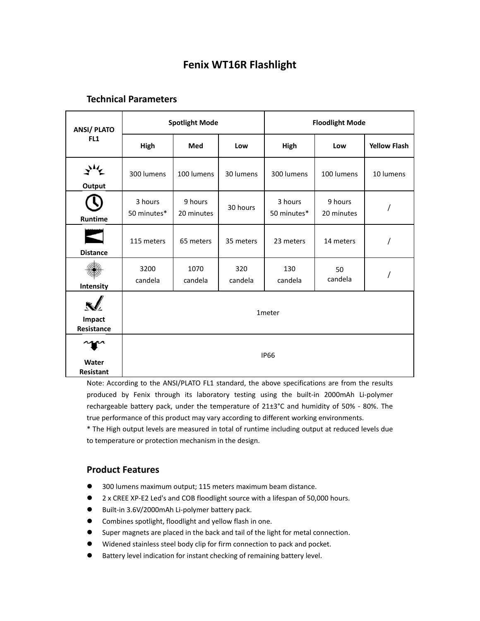# **Fenix WT16R Flashlight**

# **Technical Parameters**

| <b>ANSI/PLATO</b><br>FL <sub>1</sub> | <b>Spotlight Mode</b>  |                       |                | <b>Floodlight Mode</b> |                       |                     |
|--------------------------------------|------------------------|-----------------------|----------------|------------------------|-----------------------|---------------------|
|                                      | High                   | Med                   | Low            | High                   | Low                   | <b>Yellow Flash</b> |
| Output                               | 300 lumens             | 100 lumens            | 30 lumens      | 300 lumens             | 100 lumens            | 10 lumens           |
| Runtime                              | 3 hours<br>50 minutes* | 9 hours<br>20 minutes | 30 hours       | 3 hours<br>50 minutes* | 9 hours<br>20 minutes |                     |
| <b>Distance</b>                      | 115 meters             | 65 meters             | 35 meters      | 23 meters              | 14 meters             |                     |
| Intensity                            | 3200<br>candela        | 1070<br>candela       | 320<br>candela | 130<br>candela         | 50<br>candela         |                     |
| Impact<br>Resistance                 | 1 <sub>meter</sub>     |                       |                |                        |                       |                     |
| Water<br>Resistant                   | <b>IP66</b>            |                       |                |                        |                       |                     |

Note: According to the ANSI/PLATO FL1 standard, the above specifications are from the results produced by Fenix through its laboratory testing using the built-in 2000mAh Li-polymer rechargeable battery pack, under the temperature of 21±3°C and humidity of 50% - 80%. The true performance of this product may vary according to different working environments.

\* The High output levels are measured in total of runtime including output at reduced levels due to temperature or protection mechanism in the design.

## **Product Features**

- 300 lumens maximum output; 115 meters maximum beam distance.
- 2 x CREE XP-E2 Led's and COB floodlight source with a lifespan of 50,000 hours.
- Built-in 3.6V/2000mAh Li-polymer battery pack.
- Combines spotlight, floodlight and yellow flash in one.
- Super magnets are placed in the back and tail of the light for metal connection.
- Widened stainless steel body clip for firm connection to pack and pocket.
- Battery level indication for instant checking of remaining battery level.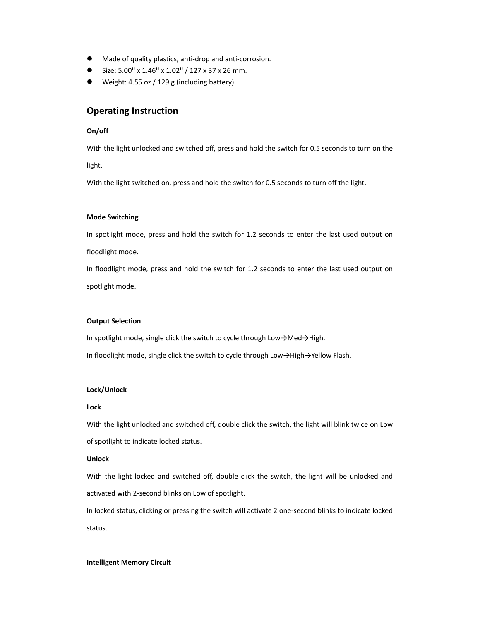- Made of quality plastics, anti-drop and anti-corrosion.
- Size: 5.00'' x 1.46'' x 1.02'' / 127 x 37 x 26 mm.
- Weight: 4.55 oz / 129 g (including battery).

### **Operating Instruction**

### **On/off**

With the light unlocked and switched off, press and hold the switch for 0.5 seconds to turn on the

light.

With the light switched on, press and hold the switch for 0.5 seconds to turn off the light.

### **Mode Switching**

In spotlight mode, press and hold the switch for 1.2 seconds to enter the last used output on floodlight mode.

In floodlight mode, press and hold the switch for 1.2 seconds to enter the last used output on spotlight mode.

#### **Output Selection**

In spotlight mode, single click the switch to cycle through Low→Med→High.

In floodlight mode, single click the switch to cycle through Low→High→Yellow Flash.

### **Lock/Unlock**

#### **Lock**

With the light unlocked and switched off, double click the switch, the light will blink twice on Low of spotlight to indicate locked status.

#### **Unlock**

With the light locked and switched off, double click the switch, the light will be unlocked and activated with 2‐second blinks on Low of spotlight.

In locked status, clicking or pressing the switch will activate 2 one‐second blinks to indicate locked status.

#### **Intelligent Memory Circuit**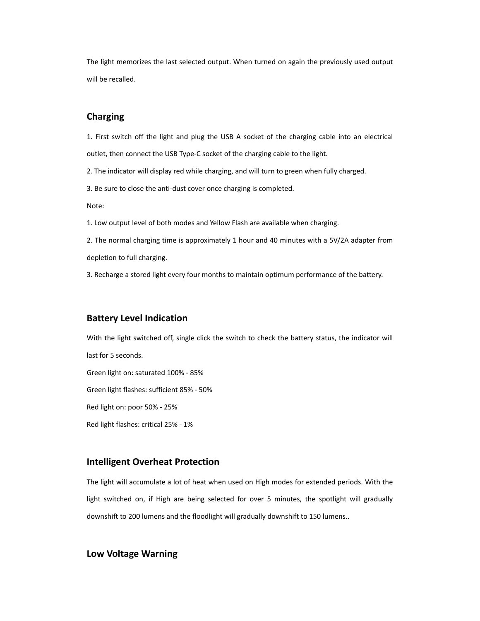The light memorizes the last selected output. When turned on again the previously used output will be recalled.

## **Charging**

1. First switch off the light and plug the USB A socket of the charging cable into an electrical outlet, then connect the USB Type‐C socket of the charging cable to the light.

2. The indicator will display red while charging, and will turn to green when fully charged.

3. Be sure to close the anti‐dust cover once charging is completed.

Note:

1. Low output level of both modes and Yellow Flash are available when charging.

2. The normal charging time is approximately 1 hour and 40 minutes with a 5V/2A adapter from depletion to full charging.

3. Recharge a stored light every four months to maintain optimum performance of the battery.

### **Battery Level Indication**

With the light switched off, single click the switch to check the battery status, the indicator will last for 5 seconds. Green light on: saturated 100% ‐ 85% Green light flashes: sufficient 85% ‐ 50% Red light on: poor 50% ‐ 25% Red light flashes: critical 25% ‐ 1%

### **Intelligent Overheat Protection**

The light will accumulate a lot of heat when used on High modes for extended periods. With the light switched on, if High are being selected for over 5 minutes, the spotlight will gradually downshift to 200 lumens and the floodlight will gradually downshift to 150 lumens..

### **Low Voltage Warning**